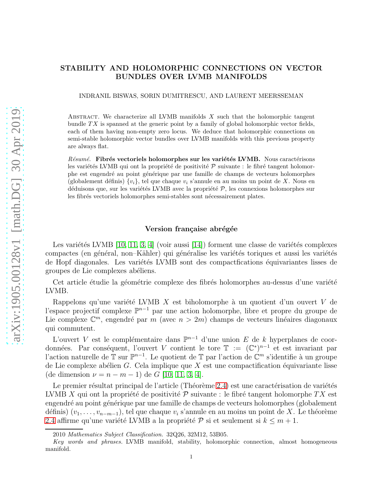# STABILITY AND HOLOMORPHIC CONNECTIONS ON VECTOR BUNDLES OVER LVMB MANIFOLDS

INDRANIL BISWAS, SORIN DUMITRESCU, AND LAURENT MEERSSEMAN

ABSTRACT. We characterize all LVMB manifolds  $X$  such that the holomorphic tangent bundle  $TX$  is spanned at the generic point by a family of global holomorphic vector fields, each of them having non-empty zero locus. We deduce that holomorphic connections on semi-stable holomorphic vector bundles over LVMB manifolds with this previous property are always flat.

 $R$ ésumé. Fibrés vectoriels holomorphes sur les variétés LVMB. Nous caractérisons les variétés LVMB qui ont la propriété de positivité  $P$  suivante : le fibré tangent holomorphe est engendr´e au point g´en´erique par une famille de champs de vecteurs holomorphes (globalement définis)  $\{v_i\}$ , tel que chaque  $v_i$  s'annule en au moins un point de X. Nous en déduisons que, sur les variétés LVMB avec la propriété  $P$ , les connexions holomorphes sur les fibrés vectoriels holomorphes semi-stables sont nécessairement plates.

## Version française abrégée

Les variétés LVMB  $[10, 11, 3, 4]$  $[10, 11, 3, 4]$  $[10, 11, 3, 4]$  $[10, 11, 3, 4]$  (voir aussi  $[14]$ ) forment une classe de variétés complexes compactes (en général, non–Kähler) qui généralise les variétés toriques et aussi les variétés de Hopf diagonales. Les variétés LVMB sont des compactfications équivariantes lisses de groupes de Lie complexes abéliens.

Cet article étudie la géométrie complexe des fibrés holomorphes au-dessus d'une variété LVMB.

Rappelons qu'une variété LVMB  $X$  est biholomorphe à un quotient d'un ouvert V de l'espace projectif complexe P <sup>n</sup>−<sup>1</sup> par une action holomorphe, libre et propre du groupe de Lie complexe  $\mathbb{C}^m$ , engendré par m (avec  $n > 2m$ ) champs de vecteurs linéaires diagonaux qui commutent.

L'ouvert V est le complémentaire dans  $\mathbb{P}^{n-1}$  d'une union E de k hyperplanes de coordonnées. Par conséquent, l'ouvert V contient le tore  $\mathbb{T} := (\mathbb{C}^*)^{n-1}$  et est invariant par l'action naturelle de T sur P<sup>n−1</sup>. Le quotient de T par l'action de C<sup>m</sup> s'identifie à un groupe de Lie complexe abélien G. Cela implique que  $X$  est une compactification équivariante lisse (de dimension  $\nu = n - m - 1$ ) de G [\[10,](#page-6-0) [11,](#page-6-1) [3,](#page-6-2) [4\]](#page-6-3).

Le premier résultat principal de l'article (Théorème [2.4\)](#page-2-0) est une caractérisation de variétés LVMB X qui ont la propriété de positivité  $P$  suivante : le fibré tangent holomorphe TX est engendré au point générique par une famille de champs de vecteurs holomorphes (globalement définis)  $(v_1, \ldots, v_{n-m-1})$ , tel que chaque  $v_i$  s'annule en au moins un point de X. Le théorème [2.4](#page-2-0) affirme qu'une variété LVMB a la propriété  $P$  si et seulement si  $k \leq m + 1$ .

<sup>2010</sup> Mathematics Subject Classification. 32Q26, 32M12, 53B05.

Key words and phrases. LVMB manifold, stability, holomorphic connection, almost homogeneous manifold.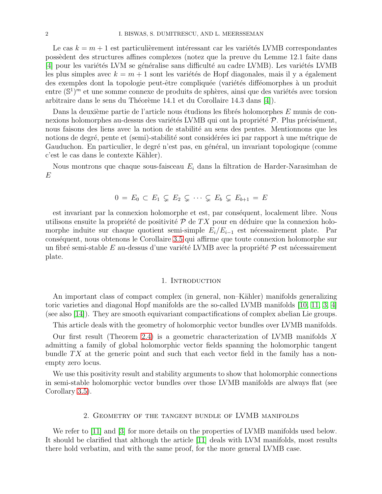Le cas  $k = m + 1$  est particulièrement intéressant car les variétés LVMB correspondantes poss`edent des structures affines complexes (notez que la preuve du Lemme 12.1 faite dans [\[4\]](#page-6-3) pour les variétés LVM se généralise sans difficulté au cadre LVMB). Les variétés LVMB les plus simples avec  $k = m + 1$  sont les variétés de Hopf diagonales, mais il y a également des exemples dont la topologie peut-être compliquée (variétés difféomorphes à un produit entre  $(\mathbb{S}^1)^m$  et une somme connexe de produits de sphères, ainsi que des variétés avec torsion arbitraire dans le sens du Théorème 14.1 et du Corollaire 14.3 dans [\[4\]](#page-6-3)).

Dans la deuxième partie de l'article nous étudions les fibrés holomorphes  $E$  munis de connexions holomorphes au-dessus des variétés LVMB qui ont la propriété  $\mathcal{P}$ . Plus précisément, nous faisons des liens avec la notion de stabilité au sens des pentes. Mentionnons que les notions de degré, pente et (semi)-stabilité sont considérées ici par rapport à une métrique de Gauduchon. En particulier, le degré n'est pas, en général, un invariant topologique (comme c'est le cas dans le contexte Kähler).

Nous montrons que chaque sous-faisceau  $E_i$  dans la filtration de Harder-Narasimhan de E

$$
0 = E_0 \subset E_1 \subsetneq E_2 \subsetneq \cdots \subsetneq E_b \subsetneq E_{b+1} = E
$$

est invariant par la connexion holomorphe et est, par conséquent, localement libre. Nous utilisons ensuite la propriété de positivité  $\mathcal P$  de TX pour en déduire que la connexion holomorphe induite sur chaque quotient semi-simple  $E_i/E_{i-1}$  est nécessairement plate. Par cons´equent, nous obtenons le Corollaire [3.5](#page-6-5) qui affirme que toute connexion holomorphe sur un fibré semi-stable E au-dessus d'une variété LVMB avec la propriété  $\mathcal P$  est nécessairement plate.

#### 1. INTRODUCTION

An important class of compact complex (in general, non–Kähler) manifolds generalizing toric varieties and diagonal Hopf manifolds are the so-called LVMB manifolds [\[10,](#page-6-0) [11,](#page-6-1) [3,](#page-6-2) [4\]](#page-6-3) (see also  $(14)$ ). They are smooth equivariant compactifications of complex abelian Lie groups.

This article deals with the geometry of holomorphic vector bundles over LVMB manifolds.

Our first result (Theorem [2.4\)](#page-2-0) is a geometric characterization of LVMB manifolds  $X$ admitting a family of global holomorphic vector fields spanning the holomorphic tangent bundle  $TX$  at the generic point and such that each vector field in the family has a nonempty zero locus.

We use this positivity result and stability arguments to show that holomorphic connections in semi-stable holomorphic vector bundles over those LVMB manifolds are always flat (see Corollary [3.5\)](#page-6-5).

### 2. Geometry of the tangent bundle of LVMB manifolds

We refer to [\[11\]](#page-6-1) and [\[3\]](#page-6-2) for more details on the properties of LVMB manifolds used below. It should be clarified that although the article [\[11\]](#page-6-1) deals with LVM manifolds, most results there hold verbatim, and with the same proof, for the more general LVMB case.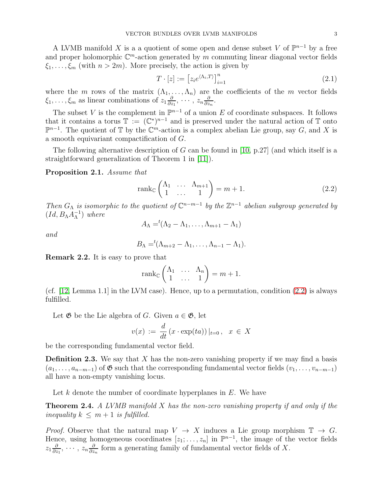A LVMB manifold X is a a quotient of some open and dense subset V of  $\mathbb{P}^{n-1}$  by a free and proper holomorphic  $\mathbb{C}^m$ -action generated by m commuting linear diagonal vector fields  $\xi_1, \ldots, \xi_m$  (with  $n > 2m$ ). More precisely, the action is given by

<span id="page-2-2"></span>
$$
T \cdot [z] := \left[ z_i e^{\langle \Lambda_i, T \rangle} \right]_{i=1}^n \tag{2.1}
$$

where the m rows of the matrix  $(\Lambda_1, \ldots, \Lambda_n)$  are the coefficients of the m vector fields  $\xi_1,\ldots,\xi_m$  as linear combinations of  $z_1\frac{\partial}{\partial z}$  $\frac{\partial}{\partial z_1},\,\cdots,\,z_n\frac{\partial}{\partial z_n}$  $\frac{\partial}{\partial z_n}$ .

The subset V is the complement in  $\mathbb{P}^{n-1}$  of a union E of coordinate subspaces. It follows that it contains a torus  $\mathbb{T} := (\mathbb{C}^*)^{n-1}$  and is preserved under the natural action of  $\mathbb{T}$  onto  $\mathbb{P}^{n-1}$ . The quotient of  $\mathbb T$  by the  $\mathbb C^m$ -action is a complex abelian Lie group, say G, and X is a smooth equivariant compactification of G.

The following alternative description of G can be found in [\[10,](#page-6-0) p.27] (and which itself is a straightforward generalization of Theorem 1 in [\[11\]](#page-6-1)).

<span id="page-2-3"></span>Proposition 2.1. Assume that

<span id="page-2-1"></span>
$$
rank_{\mathbb{C}}\begin{pmatrix}\n\Lambda_1 & \dots & \Lambda_{m+1} \\
1 & \dots & 1\n\end{pmatrix} = m + 1.
$$
\n(2.2)

Then  $G_{\Lambda}$  is isomorphic to the quotient of  $\mathbb{C}^{n-m-1}$  by the  $\mathbb{Z}^{n-1}$  abelian subgroup generated by  $(Id, B_{\Lambda}A_{\Lambda}^{-1})$  where

$$
A_{\Lambda} = ^t(\Lambda_2 - \Lambda_1, \ldots, \Lambda_{m+1} - \Lambda_1)
$$

and

$$
B_{\Lambda} = {}^{t}(\Lambda_{m+2} - \Lambda_1, \ldots, \Lambda_{n-1} - \Lambda_1).
$$

Remark 2.2. It is easy to prove that

$$
\operatorname{rank}_{\mathbb{C}}\begin{pmatrix} \Lambda_1 & \dots & \Lambda_n \\ 1 & \dots & 1 \end{pmatrix} = m + 1.
$$

(cf. [\[12,](#page-6-6) Lemma 1.1] in the LVM case). Hence, up to a permutation, condition [\(2.2\)](#page-2-1) is always fulfilled.

Let  $\mathfrak G$  be the Lie algebra of G. Given  $a \in \mathfrak G$ , let

$$
v(x) := \frac{d}{dt} (x \cdot \exp(ta)) |_{t=0}, \quad x \in X
$$

be the corresponding fundamental vector field.

**Definition 2.3.** We say that X has the non-zero vanishing property if we may find a basis  $(a_1, \ldots, a_{n-m-1})$  of  $\mathfrak G$  such that the corresponding fundamental vector fields  $(v_1, \ldots, v_{n-m-1})$ all have a non-empty vanishing locus.

Let  $k$  denote the number of coordinate hyperplanes in  $E$ . We have

<span id="page-2-0"></span>**Theorem 2.4.** A LVMB manifold  $X$  has the non-zero vanishing property if and only if the inequality  $k \leq m+1$  is fulfilled.

*Proof.* Observe that the natural map  $V \to X$  induces a Lie group morphism  $\mathbb{T} \to G$ . Hence, using homogeneous coordinates  $[z_1; \ldots, z_n]$  in  $\mathbb{P}^{n-1}$ , the image of the vector fields  $z_1\frac{\partial}{\partial z}$  $\frac{\partial}{\partial z_1},\,\cdots,\,z_n\frac{\partial}{\partial z}$  $\frac{\partial}{\partial z_n}$  form a generating family of fundamental vector fields of X.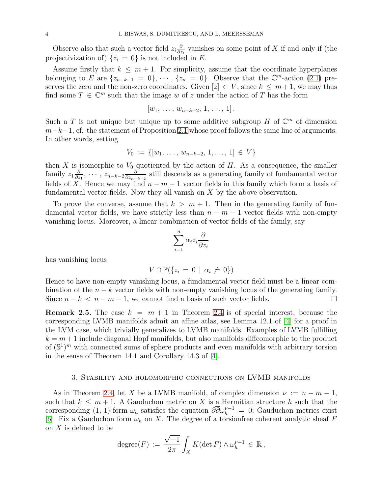Observe also that such a vector field  $z_i \frac{\partial}{\partial z_i}$  $\frac{\partial}{\partial z_i}$  vanishes on some point of X if and only if (the projectivization of)  $\{z_i = 0\}$  is not included in E.

Assume firstly that  $k \leq m+1$ . For simplicity, assume that the coordinate hyperplanes belonging to E are  $\{z_{n-k-1} = 0\}, \cdots, \{z_n = 0\}.$  Observe that the  $\mathbb{C}^m$ -action [\(2.1\)](#page-2-2) preserves the zero and the non-zero coordinates. Given  $[z] \in V$ , since  $k \leq m+1$ , we may thus find some  $T \in \mathbb{C}^m$  such that the image w of z under the action of T has the form

$$
[w_1, \ldots, w_{n-k-2}, 1, \ldots, 1].
$$

Such a T is not unique but unique up to some additive subgroup H of  $\mathbb{C}^m$  of dimension  $m-k-1$ , cf. the statement of Proposition [2.1](#page-2-3) whose proof follows the same line of arguments. In other words, setting

$$
V_0 := \{ [w_1, \ldots, w_{n-k-2}, 1, \ldots, 1] \in V \}
$$

then X is isomorphic to  $V_0$  quotiented by the action of H. As a consequence, the smaller family  $z_1\frac{\partial}{\partial z}$  $\frac{\partial}{\partial z_1},\,\cdots,\,z_{n-k-2}\frac{\partial}{\partial z_{n-2}}$  $\frac{\partial}{\partial z_{n-k-2}}$  still descends as a generating family of fundamental vector fields of X. Hence we may find  $n - m - 1$  vector fields in this family which form a basis of fundamental vector fields. Now they all vanish on  $X$  by the above observation.

To prove the converse, assume that  $k > m + 1$ . Then in the generating family of fundamental vector fields, we have strictly less than  $n - m - 1$  vector fields with non-empty vanishing locus. Moreover, a linear combination of vector fields of the family, say

$$
\sum_{i=1}^n \alpha_i z_i \frac{\partial}{\partial z_i}
$$

has vanishing locus

$$
V \cap \mathbb{P}(\{z_i = 0 \mid \alpha_i \neq 0\})
$$

Hence to have non-empty vanishing locus, a fundamental vector field must be a linear combination of the  $n - k$  vector fields with non-empty vanishing locus of the generating family.<br>Since  $n - k < n - m - 1$ , we cannot find a basis of such vector fields. Since  $n - k < n - m - 1$ , we cannot find a basis of such vector fields.

**Remark 2.5.** The case  $k = m + 1$  in Theorem [2.4](#page-2-0) is of special interest, because the corresponding LVMB manifolds admit an affine atlas, see Lemma 12.1 of [\[4\]](#page-6-3) for a proof in the LVM case, which trivially generalizes to LVMB manifolds. Examples of LVMB fulfilling  $k = m + 1$  include diagonal Hopf manifolds, but also manifolds diffeomorphic to the product of  $(\mathbb{S}^1)^m$  with connected sums of sphere products and even manifolds with arbitrary torsion in the sense of Theorem 14.1 and Corollary 14.3 of [\[4\]](#page-6-3).

### 3. Stability and holomorphic connections on LVMB manifolds

As in Theorem [2.4,](#page-2-0) let X be a LVMB manifold, of complex dimension  $\nu := n - m - 1$ , such that  $k \leq m+1$ . A Gauduchon metric on X is a Hermitian structure h such that the corresponding (1, 1)-form  $\omega_h$  satisfies the equation  $\partial \overline{\partial} \omega_h^{\nu-1} = 0$ ; Gauduchon metrics exist [\[6\]](#page-6-7). Fix a Gauduchon form  $\omega_h$  on X. The degree of a torsion free coherent analytic sheaf F on X is defined to be

$$
\text{degree}(F) := \frac{\sqrt{-1}}{2\pi} \int_X K(\det F) \wedge \omega_h^{\nu-1} \in \mathbb{R},
$$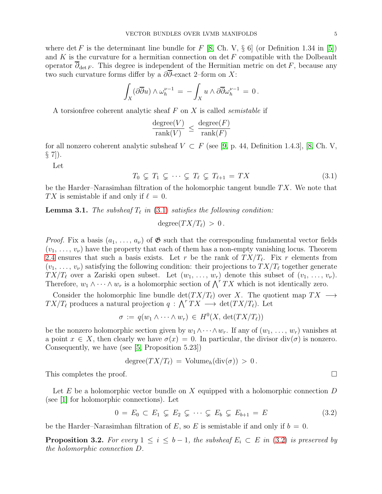where det F is the determinant line bundle for F [\[8,](#page-6-8) Ch. V,  $\S$  6] (or Definition 1.34 in [\[5\]](#page-6-9)) and  $K$  is the curvature for a hermitian connection on det  $F$  compatible with the Dolbeault operator  $\overline{\partial}_{\det F}$ . This degree is independent of the Hermitian metric on det F, because any two such curvature forms differ by a  $\partial \overline{\partial}$ -exact 2–form on X:

$$
\int_X (\partial \overline{\partial} u) \wedge \omega_h^{\nu-1} = - \int_X u \wedge \partial \overline{\partial} \omega_h^{\nu-1} = 0.
$$

A torsionfree coherent analytic sheaf  $F$  on  $X$  is called *semistable* if

$$
\frac{\text{degree}(V)}{\text{rank}(V)} \le \frac{\text{degree}(F)}{\text{rank}(F)}
$$

for all nonzero coherent analytic subsheaf  $V \subset F$  (see [\[9,](#page-6-10) p. 44, Definition 1.4.3], [\[8,](#page-6-8) Ch. V,  $\S$  7]).

Let

<span id="page-4-0"></span>
$$
T_0 \subsetneq T_1 \subsetneq \cdots \subsetneq T_\ell \subsetneq T_{\ell+1} = TX \tag{3.1}
$$

be the Harder–Narasimhan filtration of the holomorphic tangent bundle  $TX$ . We note that TX is semistable if and only if  $\ell = 0$ .

<span id="page-4-2"></span>**Lemma 3.1.** The subsheaf  $T_{\ell}$  in [\(3.1\)](#page-4-0) satisfies the following condition:

$$
degree(TX/T_{\ell}) > 0.
$$

*Proof.* Fix a basis  $(a_1, \ldots, a_\nu)$  of  $\mathfrak{G}$  such that the corresponding fundamental vector fields  $(v_1, \ldots, v_{\nu})$  have the property that each of them has a non-empty vanishing locus. Theorem [2.4](#page-2-0) ensures that such a basis exists. Let r be the rank of  $TX/T_{\ell}$ . Fix r elements from  $(v_1, \ldots, v_{\nu})$  satisfying the following condition: their projections to  $TX/T_{\ell}$  together generate  $TX/T_{\ell}$  over a Zariski open subset. Let  $(w_1, \ldots, w_r)$  denote this subset of  $(v_1, \ldots, v_{\nu})$ . Therefore,  $w_1 \wedge \cdots \wedge w_r$  is a holomorphic section of  $\bigwedge^r TX$  which is not identically zero.

Consider the holomorphic line bundle det $(T X/T_{\ell})$  over X. The quotient map  $TX \longrightarrow$  $TX/T_{\ell}$  produces a natural projection  $q: \bigwedge^r TX \longrightarrow \det(TX/T_{\ell}).$  Let

$$
\sigma := q(w_1 \wedge \cdots \wedge w_r) \in H^0(X, \det(TX/T_{\ell}))
$$

be the nonzero holomorphic section given by  $w_1 \wedge \cdots \wedge w_r$ . If any of  $(w_1, \ldots, w_r)$  vanishes at a point  $x \in X$ , then clearly we have  $\sigma(x) = 0$ . In particular, the divisor div( $\sigma$ ) is nonzero. Consequently, we have (see [\[5,](#page-6-9) Proposition 5.23])

$$
degree(TX/T_{\ell}) = Volume_h(\text{div}(\sigma)) > 0.
$$

This completes the proof.

Let  $E$  be a holomorphic vector bundle on  $X$  equipped with a holomorphic connection  $D$ (see [\[1\]](#page-6-11) for holomorphic connections). Let

<span id="page-4-1"></span>
$$
0 = E_0 \subset E_1 \subsetneq E_2 \subsetneq \cdots \subsetneq E_b \subsetneq E_{b+1} = E \tag{3.2}
$$

be the Harder–Narasimhan filtration of E, so E is semistable if and only if  $b = 0$ .

**Proposition 3.2.** For every  $1 \leq i \leq b-1$ , the subsheaf  $E_i \subset E$  in [\(3.2\)](#page-4-1) is preserved by the holomorphic connection D.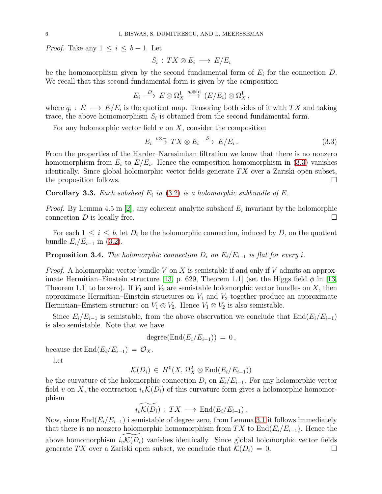*Proof.* Take any  $1 \leq i \leq b-1$ . Let

$$
S_i: TX \otimes E_i \longrightarrow E/E_i
$$

be the homomorphism given by the second fundamental form of  $E_i$  for the connection  $D$ . We recall that this second fundamental form is given by the composition

$$
E_i \stackrel{D}{\longrightarrow} E \otimes \Omega_X^1 \stackrel{q_i \otimes \mathrm{Id}}{\longrightarrow} (E/E_i) \otimes \Omega_X^1,
$$

where  $q_i: E \longrightarrow E/E_i$  is the quotient map. Tensoring both sides of it with TX and taking trace, the above homomorphism  $S_i$  is obtained from the second fundamental form.

For any holomorphic vector field  $v$  on  $X$ , consider the composition

<span id="page-5-0"></span>
$$
E_i \stackrel{v \otimes -}{\longrightarrow} TX \otimes E_i \stackrel{S_i}{\longrightarrow} E/E_i.
$$
\n(3.3)

From the properties of the Harder–Narasimhan filtration we know that there is no nonzero homomorphism from  $E_i$  to  $E/E_i$ . Hence the composition homomorphism in [\(3.3\)](#page-5-0) vanishes identically. Since global holomorphic vector fields generate  $TX$  over a Zariski open subset, the proposition follows.

**Corollary 3.3.** Each subsheaf  $E_i$  in [\(3.2\)](#page-4-1) is a holomorphic subbundle of  $E$ .

*Proof.* By Lemma 4.5 in [\[2\]](#page-6-12), any coherent analytic subsheaf  $E_i$  invariant by the holomorphic connection  $D$  is locally free.

For each  $1 \leq i \leq b$ , let  $D_i$  be the holomorphic connection, induced by D, on the quotient bundle  $E_i/E_{i-1}$  in [\(3.2\)](#page-4-1).

# <span id="page-5-1"></span>**Proposition 3.4.** The holomorphic connection  $D_i$  on  $E_i/E_{i-1}$  is flat for every i.

*Proof.* A holomorphic vector bundle V on X is semistable if and only if V admits an approx-imate Hermitian–Einstein structure [\[13,](#page-6-13) p. 629, Theorem 1.1] (set the Higgs field  $\phi$  in [13, Theorem 1.1 to be zero). If  $V_1$  and  $V_2$  are semistable holomorphic vector bundles on X, then approximate Hermitian–Einstein structures on  $V_1$  and  $V_2$  together produce an approximate Hermitian–Einstein structure on  $V_1 \otimes V_2$ . Hence  $V_1 \otimes V_2$  is also semistable.

Since  $E_i/E_{i-1}$  is semistable, from the above observation we conclude that  $\text{End}(E_i/E_{i-1})$ is also semistable. Note that we have

$$
degree(End(E_i/E_{i-1})) = 0,
$$

because det  $\text{End}(E_i/E_{i-1}) = \mathcal{O}_X$ .

Let

$$
\mathcal{K}(D_i) \in H^0(X, \Omega_X^2 \otimes \text{End}(E_i/E_{i-1}))
$$

be the curvature of the holomorphic connection  $D_i$  on  $E_i/E_{i-1}$ . For any holomorphic vector field v on X, the contraction  $i_v\mathcal{K}(D_i)$  of this curvature form gives a holomorphic homomorphism

$$
\widetilde{i_v\mathcal{K}(D_i)}: TX \longrightarrow \text{End}(E_i/E_{i-1}).
$$

Now, since  $\text{End}(E_i/E_{i-1})$  i semistable of degree zero, from Lemma [3.1](#page-4-2) it follows immediately that there is no nonzero holomorphic homomorphism from TX to  $\text{End}(E_i/E_{i-1})$ . Hence the above homomorphism  $i_v\mathcal{K}(D_i)$  vanishes identically. Since global holomorphic vector fields generate  $TX$  over a Zariski open subset, we conclude that  $\mathcal{K}(D_i) = 0$ . generate TX over a Zariski open subset, we conclude that  $\mathcal{K}(D_i) = 0$ .